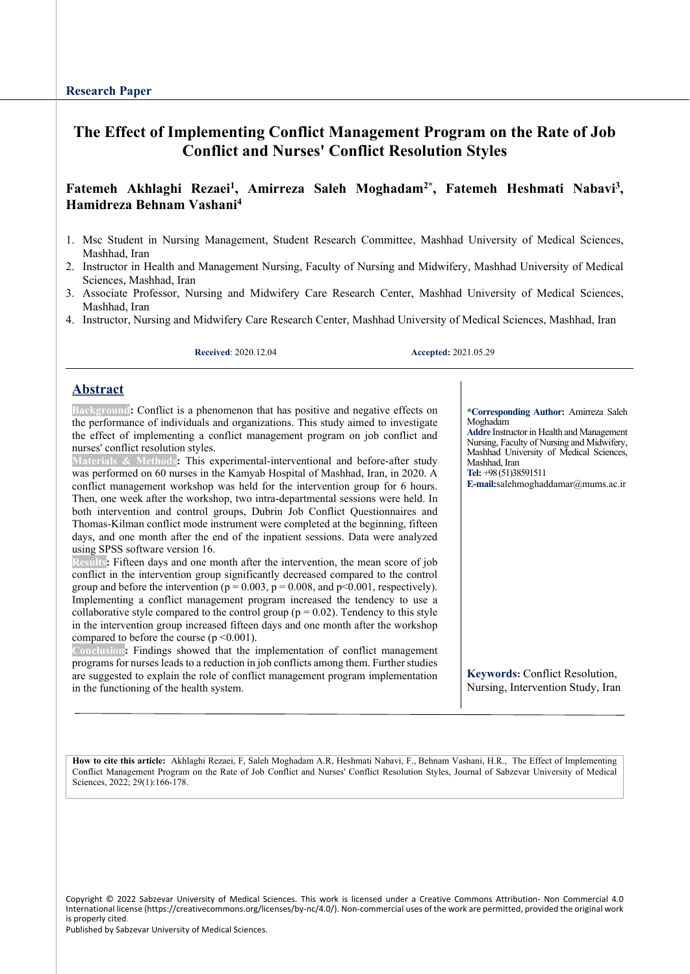# **The Effect of Implementing Conflict Management Program on the Rate of Job Conflict and Nurses' Conflict Resolution Styles**

### Fatemeh Akhlaghi Rezaei<sup>1</sup>, Amirreza Saleh Moghadam<sup>2\*</sup>, Fatemeh Heshmati Nabavi<sup>3</sup>, **Hamidreza Behnam Vashani4**

- 1. Msc Student in Nursing Management, Student Research Committee, Mashhad University of Medical Sciences, Mashhad, Iran
- 2. Instructor in Health and Management Nursing, Faculty of Nursing and Midwifery, Mashhad University of Medical Sciences, Mashhad, Iran
- 3. Associate Professor, Nursing and Midwifery Care Research Center, Mashhad University of Medical Sciences, Mashhad, Iran
- 4. Instructor, Nursing and Midwifery Care Research Center, Mashhad University of Medical Sciences, Mashhad, Iran

**Received**: 2020.12.04 **Accepted:** 2021.05.29

### **Abstract**

**Background:** Conflict is a phenomenon that has positive and negative effects on the performance of individuals and organizations. This study aimed to investigate the effect of implementing a conflict management program on job conflict and nurses' conflict resolution styles.

**Materials & Methods:** This experimental-interventional and before-after study was performed on 60 nurses in the Kamyab Hospital of Mashhad, Iran, in 2020. A conflict management workshop was held for the intervention group for 6 hours. Then, one week after the workshop, two intra-departmental sessions were held. In both intervention and control groups, Dubrin Job Conflict Questionnaires and Thomas-Kilman conflict mode instrument were completed at the beginning, fifteen days, and one month after the end of the inpatient sessions. Data were analyzed using SPSS software version 16.

**Results:** Fifteen days and one month after the intervention, the mean score of job conflict in the intervention group significantly decreased compared to the control group and before the intervention ( $p = 0.003$ ,  $p = 0.008$ , and  $p \le 0.001$ , respectively). Implementing a conflict management program increased the tendency to use a collaborative style compared to the control group ( $p = 0.02$ ). Tendency to this style in the intervention group increased fifteen days and one month after the workshop compared to before the course  $(p \le 0.001)$ .

**Conclusion:** Findings showed that the implementation of conflict management programs for nurses leads to a reduction in job conflicts among them. Further studies are suggested to explain the role of conflict management program implementation in the functioning of the health system.

**\*Corresponding Author:** Amirreza Saleh Moghadam **Addre** Instructor in Health and Management Nursing, Faculty of Nursing and Midwifery, Mashhad University of Medical Sciences, Mashhad, Iran **Tel:** +98 (51)38591511

**E-mail:**salehmoghaddamar@mums.ac.ir

**Keywords:** Conflict Resolution, Nursing, Intervention Study, Iran

**How to cite this article:** Akhlaghi Rezaei, F, Saleh Moghadam A.R, Heshmati Nabavi, F., Behnam Vashani, H.R., The Effect of Implementing Conflict Management Program on the Rate of Job Conflict and Nurses' Conflict Resolution Styles, Journal of Sabzevar University of Medical Sciences, 2022; 29(1):166-178.

Copyright © 2022 Sabzevar University of Medical Sciences. This work is licensed under a Creative Commons Attribution- Non Commercial 4.0 International license (https://creativecommons.org/licenses/by-nc/4.0/). Non-commercial uses of the work are permitted, provided the original work is properly cited.

Published by Sabzevar University of Medical Sciences.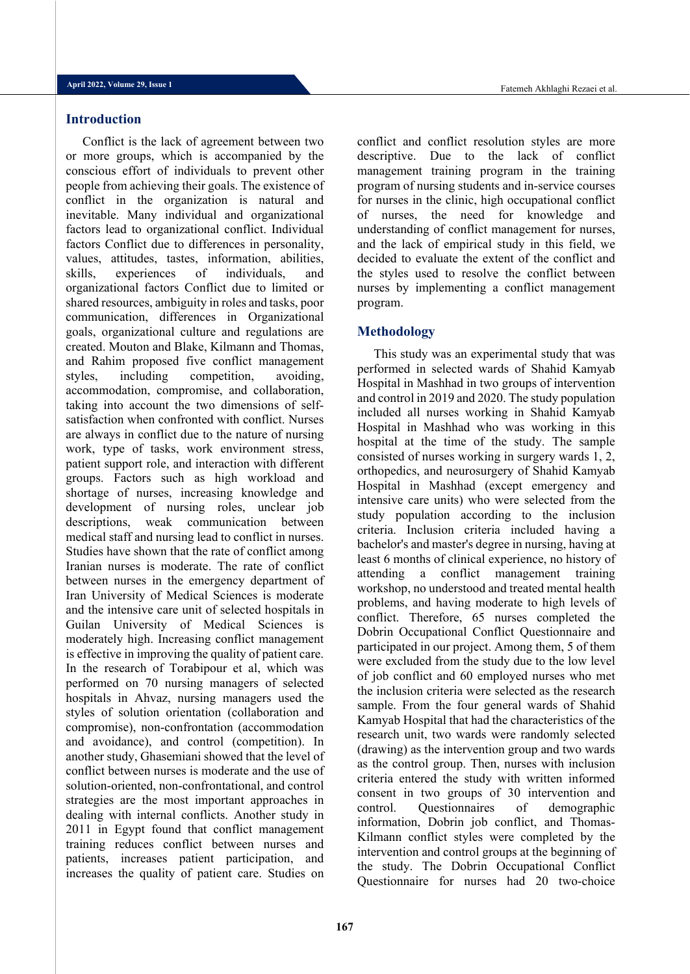### **Introduction**

Conflict is the lack of agreement between two or more groups, which is accompanied by the conscious effort of individuals to prevent other people from achieving their goals. The existence of conflict in the organization is natural and inevitable. Many individual and organizational factors lead to organizational conflict. Individual factors Conflict due to differences in personality, values, attitudes, tastes, information, abilities, skills, experiences of individuals, and organizational factors Conflict due to limited or shared resources, ambiguity in roles and tasks, poor communication, differences in Organizational goals, organizational culture and regulations are created. Mouton and Blake, Kilmann and Thomas, and Rahim proposed five conflict management styles, including competition, avoiding, accommodation, compromise, and collaboration, taking into account the two dimensions of selfsatisfaction when confronted with conflict. Nurses are always in conflict due to the nature of nursing work, type of tasks, work environment stress, patient support role, and interaction with different groups. Factors such as high workload and shortage of nurses, increasing knowledge and development of nursing roles, unclear job descriptions, weak communication between medical staff and nursing lead to conflict in nurses. Studies have shown that the rate of conflict among Iranian nurses is moderate. The rate of conflict between nurses in the emergency department of Iran University of Medical Sciences is moderate and the intensive care unit of selected hospitals in Guilan University of Medical Sciences is moderately high. Increasing conflict management is effective in improving the quality of patient care. In the research of Torabipour et al, which was performed on 70 nursing managers of selected hospitals in Ahvaz, nursing managers used the styles of solution orientation (collaboration and compromise), non-confrontation (accommodation and avoidance), and control (competition). In another study, Ghasemiani showed that the level of conflict between nurses is moderate and the use of solution-oriented, non-confrontational, and control strategies are the most important approaches in dealing with internal conflicts. Another study in 2011 in Egypt found that conflict management training reduces conflict between nurses and patients, increases patient participation, and increases the quality of patient care. Studies on

conflict and conflict resolution styles are more descriptive. Due to the lack of conflict management training program in the training program of nursing students and in-service courses for nurses in the clinic, high occupational conflict of nurses, the need for knowledge and understanding of conflict management for nurses, and the lack of empirical study in this field, we decided to evaluate the extent of the conflict and the styles used to resolve the conflict between nurses by implementing a conflict management program.

### **Methodology**

This study was an experimental study that was performed in selected wards of Shahid Kamyab Hospital in Mashhad in two groups of intervention and control in 2019 and 2020. The study population included all nurses working in Shahid Kamyab Hospital in Mashhad who was working in this hospital at the time of the study. The sample consisted of nurses working in surgery wards 1, 2, orthopedics, and neurosurgery of Shahid Kamyab Hospital in Mashhad (except emergency and intensive care units) who were selected from the study population according to the inclusion criteria. Inclusion criteria included having a bachelor's and master's degree in nursing, having at least 6 months of clinical experience, no history of attending a conflict management training workshop, no understood and treated mental health problems, and having moderate to high levels of conflict. Therefore, 65 nurses completed the Dobrin Occupational Conflict Questionnaire and participated in our project. Among them, 5 of them were excluded from the study due to the low level of job conflict and 60 employed nurses who met the inclusion criteria were selected as the research sample. From the four general wards of Shahid Kamyab Hospital that had the characteristics of the research unit, two wards were randomly selected (drawing) as the intervention group and two wards as the control group. Then, nurses with inclusion criteria entered the study with written informed consent in two groups of 30 intervention and control. Questionnaires of demographic information, Dobrin job conflict, and Thomas-Kilmann conflict styles were completed by the intervention and control groups at the beginning of the study. The Dobrin Occupational Conflict Questionnaire for nurses had 20 two-choice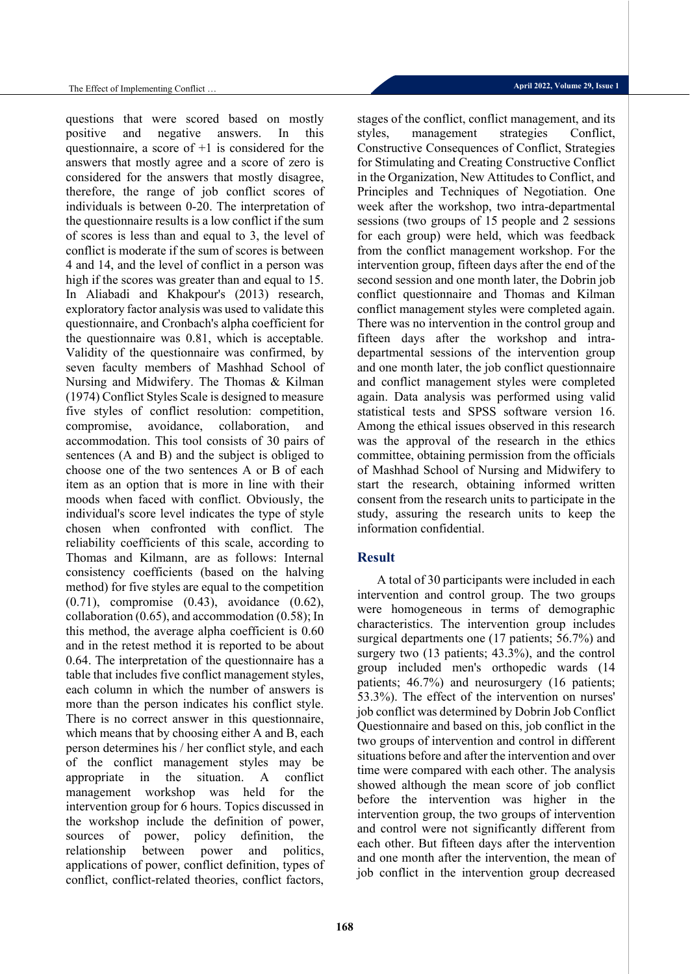questions that were scored based on mostly positive and negative answers. In this questionnaire, a score of  $+1$  is considered for the answers that mostly agree and a score of zero is considered for the answers that mostly disagree, therefore, the range of job conflict scores of individuals is between 0-20. The interpretation of the questionnaire results is a low conflict if the sum of scores is less than and equal to 3, the level of conflict is moderate if the sum of scores is between 4 and 14, and the level of conflict in a person was high if the scores was greater than and equal to 15. In Aliabadi and Khakpour's (2013) research, exploratory factor analysis was used to validate this questionnaire, and Cronbach's alpha coefficient for the questionnaire was 0.81, which is acceptable. Validity of the questionnaire was confirmed, by seven faculty members of Mashhad School of Nursing and Midwifery. The Thomas & Kilman (1974) Conflict Styles Scale is designed to measure five styles of conflict resolution: competition, compromise, avoidance, collaboration, and accommodation. This tool consists of 30 pairs of sentences (A and B) and the subject is obliged to choose one of the two sentences A or B of each item as an option that is more in line with their moods when faced with conflict. Obviously, the individual's score level indicates the type of style chosen when confronted with conflict. The reliability coefficients of this scale, according to Thomas and Kilmann, are as follows: Internal consistency coefficients (based on the halving method) for five styles are equal to the competition (0.71), compromise (0.43), avoidance (0.62), collaboration (0.65), and accommodation (0.58); In this method, the average alpha coefficient is 0.60 and in the retest method it is reported to be about 0.64. The interpretation of the questionnaire has a table that includes five conflict management styles, each column in which the number of answers is more than the person indicates his conflict style. There is no correct answer in this questionnaire, which means that by choosing either A and B, each person determines his / her conflict style, and each of the conflict management styles may be appropriate in the situation. A conflict management workshop was held for the intervention group for 6 hours. Topics discussed in the workshop include the definition of power, sources of power, policy definition, the relationship between power and politics, applications of power, conflict definition, types of conflict, conflict-related theories, conflict factors,

stages of the conflict, conflict management, and its styles, management strategies Conflict, Constructive Consequences of Conflict, Strategies for Stimulating and Creating Constructive Conflict in the Organization, New Attitudes to Conflict, and Principles and Techniques of Negotiation. One week after the workshop, two intra-departmental sessions (two groups of 15 people and 2 sessions for each group) were held, which was feedback from the conflict management workshop. For the intervention group, fifteen days after the end of the second session and one month later, the Dobrin job conflict questionnaire and Thomas and Kilman conflict management styles were completed again. There was no intervention in the control group and fifteen days after the workshop and intradepartmental sessions of the intervention group and one month later, the job conflict questionnaire and conflict management styles were completed again. Data analysis was performed using valid statistical tests and SPSS software version 16. Among the ethical issues observed in this research was the approval of the research in the ethics committee, obtaining permission from the officials of Mashhad School of Nursing and Midwifery to start the research, obtaining informed written consent from the research units to participate in the study, assuring the research units to keep the information confidential.

### **Result**

A total of 30 participants were included in each intervention and control group. The two groups were homogeneous in terms of demographic characteristics. The intervention group includes surgical departments one (17 patients; 56.7%) and surgery two (13 patients; 43.3%), and the control group included men's orthopedic wards (14 patients; 46.7%) and neurosurgery (16 patients; 53.3%). The effect of the intervention on nurses' job conflict was determined by Dobrin Job Conflict Questionnaire and based on this, job conflict in the two groups of intervention and control in different situations before and after the intervention and over time were compared with each other. The analysis showed although the mean score of job conflict before the intervention was higher in the intervention group, the two groups of intervention and control were not significantly different from each other. But fifteen days after the intervention and one month after the intervention, the mean of job conflict in the intervention group decreased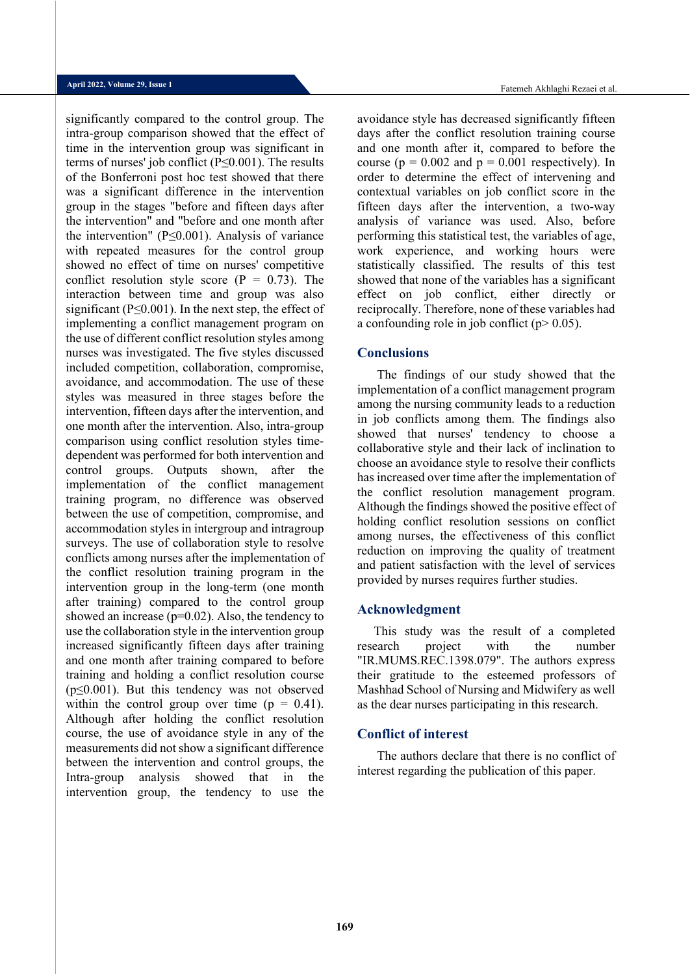significantly compared to the control group. The intra-group comparison showed that the effect of time in the intervention group was significant in terms of nurses' job conflict (P≤0.001). The results of the Bonferroni post hoc test showed that there was a significant difference in the intervention group in the stages "before and fifteen days after the intervention" and "before and one month after the intervention" (P≤0.001). Analysis of variance with repeated measures for the control group showed no effect of time on nurses' competitive conflict resolution style score ( $P = 0.73$ ). The interaction between time and group was also significant ( $P \le 0.001$ ). In the next step, the effect of implementing a conflict management program on the use of different conflict resolution styles among nurses was investigated. The five styles discussed included competition, collaboration, compromise, avoidance, and accommodation. The use of these styles was measured in three stages before the intervention, fifteen days after the intervention, and one month after the intervention. Also, intra-group comparison using conflict resolution styles timedependent was performed for both intervention and control groups. Outputs shown, after the implementation of the conflict management training program, no difference was observed between the use of competition, compromise, and accommodation styles in intergroup and intragroup surveys. The use of collaboration style to resolve conflicts among nurses after the implementation of the conflict resolution training program in the intervention group in the long-term (one month after training) compared to the control group showed an increase  $(p=0.02)$ . Also, the tendency to use the collaboration style in the intervention group increased significantly fifteen days after training and one month after training compared to before training and holding a conflict resolution course (p≤0.001). But this tendency was not observed within the control group over time  $(p = 0.41)$ . Although after holding the conflict resolution course, the use of avoidance style in any of the measurements did not show a significant difference between the intervention and control groups, the Intra-group analysis showed that in the intervention group, the tendency to use the

Fatemeh Akhlaghi Rezaei et al.

avoidance style has decreased significantly fifteen days after the conflict resolution training course and one month after it, compared to before the course ( $p = 0.002$  and  $p = 0.001$  respectively). In order to determine the effect of intervening and contextual variables on job conflict score in the fifteen days after the intervention, a two-way analysis of variance was used. Also, before performing this statistical test, the variables of age, work experience, and working hours were statistically classified. The results of this test showed that none of the variables has a significant effect on job conflict, either directly or reciprocally. Therefore, none of these variables had a confounding role in job conflict ( $p > 0.05$ ).

### **Conclusions**

The findings of our study showed that the implementation of a conflict management program among the nursing community leads to a reduction in job conflicts among them. The findings also showed that nurses' tendency to choose a collaborative style and their lack of inclination to choose an avoidance style to resolve their conflicts has increased over time after the implementation of the conflict resolution management program. Although the findings showed the positive effect of holding conflict resolution sessions on conflict among nurses, the effectiveness of this conflict reduction on improving the quality of treatment and patient satisfaction with the level of services provided by nurses requires further studies.

#### **Acknowledgment**

This study was the result of a completed research project with the number "IR.MUMS.REC.1398.079". The authors express their gratitude to the esteemed professors of Mashhad School of Nursing and Midwifery as well as the dear nurses participating in this research.

#### **Conflict of interest**

The authors declare that there is no conflict of interest regarding the publication of this paper.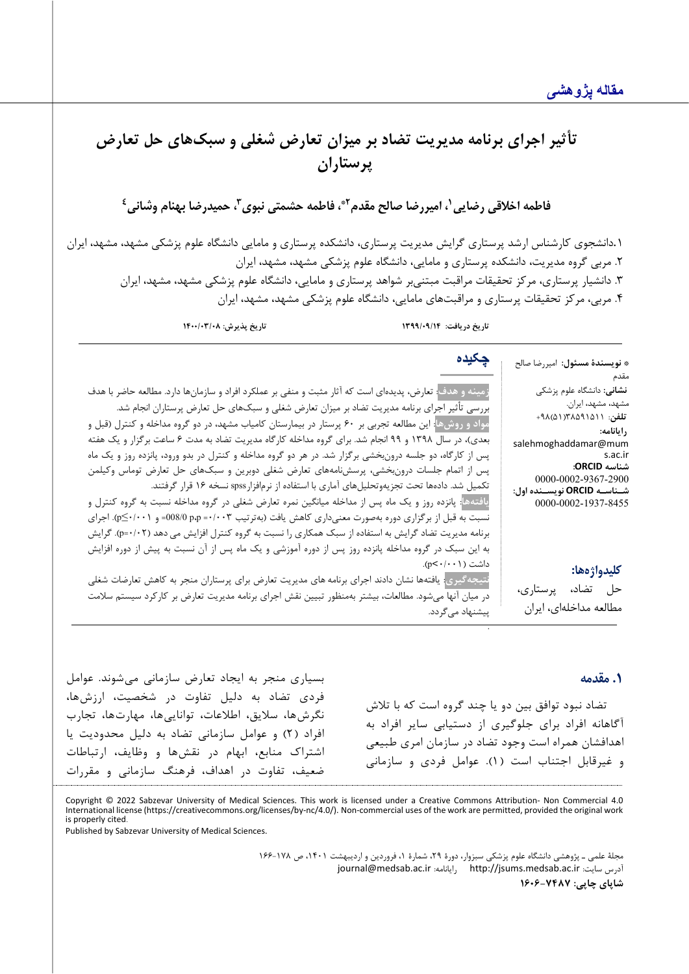# تأثیر اجرای برنامه مدیریت تضاد بر میزان تعارض شغلی و سبک**های حل تعارض پرستاران**

# فاطمه اخلاقی رضایی <sup>ر</sup>، امیررضا صالح مقدم ّ<sup>1</sup>ّ، فاطمه حشمتی نبوی <sup>۳</sup>، حمیدرضا بهنام وشانی <sup>٤</sup>

.1دانشجوي کارشناس ارشد پرستاري گرایش مدیریت پرستاري، دانشکده پرستاري و مامایی دانشگاه علوم پزشکی مشهد، مشهد، ایران .2 مربی گروه مد یریت، دانشکده پرستاري و مامایی، دانشگاه علوم پزشکی مشهد، مشهد، ایران ۳. دانشیار پرستاری، مرکز تحقیقات مراقبت مبتنی بر شواهد پرستاری و مامایی، دانشگاه علوم پزشکی مشهد، مشهد، ایران .4 مرب ی، مرکز تحقیقات پرستار ي و مراقبتهاي مامایی، دانشگاه علوم پزشکی مشهد، مشهد، ایران

\* **نویسندة مسئول:** ام یررضا صالح مقدم **نشانی:** دانشگاه علوم پزشکی مشهد، مشهد، ایران. **تلفن**: 38591511(51)+98 **رایانامه:** salehmoghaddamar@mum s.ac.ir **شناسه ORCID:** 0000-0002-9367-2900 **شـناسـه ORCID نویسـنده اول:** 0000-0002-1937-8455

# **کلیدواژهها:**

**.1 مقدمه** 

حل تضاد، پرستاري، مطالعه مداخلهاي، ایران

بسیار ي منجر به ایجاد تعارض سازمانی می شوند. عوامل فردي تض اد به دلیل تفاوت در شخصیت، ارزش ها، نگرش ها، سلایق، اطلاعات، توانایی ها، مهارت ها، تجارب افراد ( 2) و عوامل سازمانی تضاد به دلیل محدودیت یا اشتراك منابع، ابهام در ن قش ها و وظایف، ارتباطات ضعیف، تفاوت در اهداف، فرهنگ سازمانی و مقررات

Copyright © 2022 Sabzevar University of Medical Sciences. This work is licensed under a Creative Commons Attribution- Non Commercial 4.0 International license (https://creativecommons.org/licenses/by-nc/4.0/). Non-commercial uses of the work are permitted, provided the original work is properly cited.

Published by Sabzevar University of Medical Sciences.

مجلۀ علمی ـ پژوهشی دانشگاه علوم پزشکی سبزوار، دورة ،29 شمارة ،1 فروردین و اردیبهشت ،1401 ص 166-178 [journal@medsab.ac.ir](mailto:journal@medsab.ac.ir) :رایانامه [http://jsums.medsab.ac.ir](http://jsums.medsab.ac.ir/) :سایت آدرس **شاپاي چاپی: 1606-7487**

تضاد نبود توافق بین دو یا چند گروه است که با تلاش آگاهانه افراد برای جلوگیری از دستیابی سایر افراد به اهدافشان همراه است وجود تضاد در سازمان امري طبیعی و غیر قابل اجتناب است ( 1) . عوامل فردي و سازمانی

.

**تاریخ دریافت: /09/14 1399 تاریخ پذیرش: 1400/03/08**

**چکیده**

**مواد و روش ها**: این مطالعه تجربی بر 60 پرستار در بیمارستان کامیاب مشهد، در دو گروه مداخله و کنترل (قبل و بعدي)، در سال 1398 و 99 انجام شد. براي گروه مداخله کارگاه مدیریت تضاد به مدت 6 ساعت برگزار و یک هفته پس از کارگاه، دو جلسه درون بخشی برگزار شد. در هر دو گروه مداخله و کنترل در بدو ورود، پانزده روز و یک ماه پس از اتمام جلسات درون بخشی، پرسشنامههای تعارض شغلی دوبرین و سبکهای حل تعارض توماس وکیلمن تکمیل شد. دادهها تحت تجزیهوتحلیلهای آماری با استفاده از نرمافزارspss نسخه ۱۶ قرار گرفتند. یافتهها<mark>:</mark> پانزده روز و یک ماه پس از مداخله میانگین نمره تعارض شغلی در گروه مداخله نسبت به گروه کنترل و نسبت به قبل از برگزاري دوره بهصورت معنیداري کاهش یافت (بهترتیب 0/003= p،p 008/0 =و /001 0≥p(. اجراي برنامه مدیریت تضاد گرایش به استفاده از سبک همکاري را نسبت به گروه کنترل افزایش می دهد ( /02 0=p(. گرایش به این سبک در گروه مداخله پانزده روز پس از دوره آموزشی و یک ماه پس از آن نسبت به پیش از دوره افزایش داشت (/001 0>p(. نتیجهگیری<mark>: یافتهها نشان دادند اجرای برنامه های مدیریت تعارض برای پرستاران منجر به کاهش تعارضات شغلی</mark> در میان آنها می شود. مطالعات، بیشتر بهمنظور تبیین نقش اجراي برنامه مدیریت تعارض بر کارکرد سیستم سلامت پیشنهاد می گردد.

**زمینه و هدف**: تعارض، پدیدهاي است که آثار مثبت و منفی بر عملکرد افراد و سازمانها دارد. مطالعه حاضر با هدف بررسی تأثیر اجراي برنامه مدیریت تضاد بر میزان تعارض شغل ی و سبک هاي حل تعارض پرستاران انجام شد.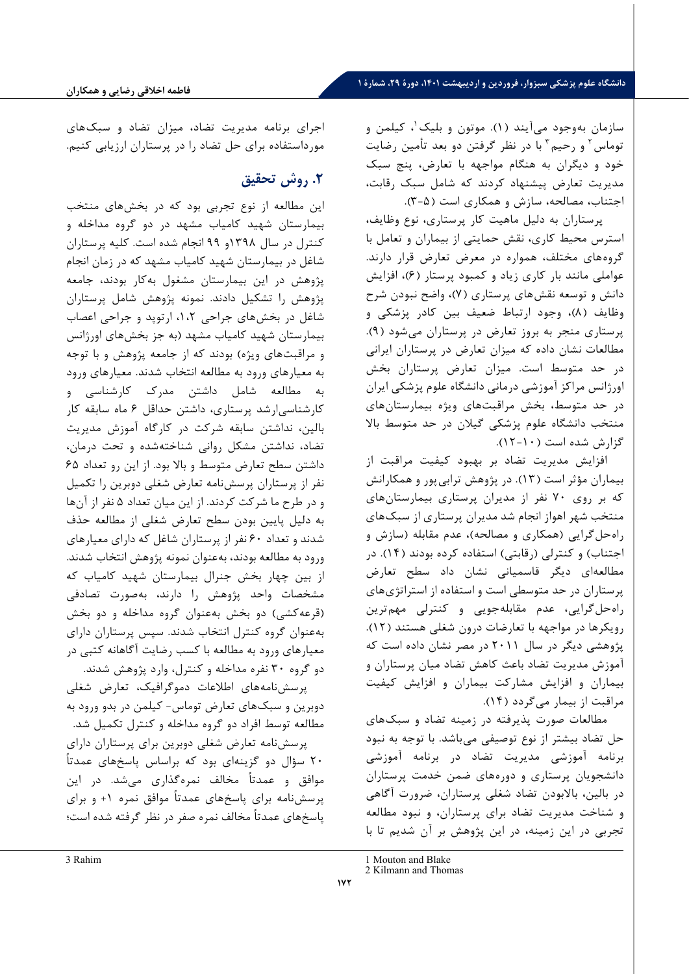سازمان بهوجود می آیند ( ۱). موتون و بلیک <sup>۱</sup>، کیلمن و توماس<sup>۲</sup> و رحیم<sup>۳</sup> با در نظر گرفتن دو بعد تأمین رضایت خود و دیگران به هنگام مواجهه با تعارض، پنج سبک مدیریت تعارض پیشنهاد کردند که شامل سبک رقابت، اجتناب، مصالحه، سازش و همکاري است ( 3-5) .

 پرستاران به دلیل ماهیت کار پرستاري، نوع وظایف، استرس محیط کاري، نقش حم ایتی از بیماران و تعامل با گروه هاي مختلف، همواره در معرض تعارض قرار دارند. عواملی مانند بار کاري زیاد و کمبود پرستار ( 6) ، افزایش دانش و توسعه نقش هاي پرستاري ( 7) ، واضح نبودن شرح وظایف ( 8) ، وجود ارتباط ضعیف بین کادر پزشکی و پرستاري منجر به بروز تعارض در پرستاران می شود (٩). مطالعات نشان داده که میزان تعارض در پرستاران ایرانی در حد متوسط است. میزان تعارض پرستاران بخش اورژانس مراکز آموزشی درمانی دانشگاه علوم پزشکی ایران در حد متوسط، بخش مراقبت هاي ویژه بیما رستان هاي منتخب دانشگاه علوم پزشکی گیلان در حد متوسط بالا گزارش شده است ( - ۱- ۱۲).

افزایش مدیریت تضاد بر بهبود کیفیت مراقبت از بیماران مؤثر است (١٣). در پژوهش ترابی پور و همکارانش که بر روی ۷۰ نفر از مدیران پرستاری بیمارستان های منتخب شهر اهواز انجام شد مد یران پرستار ي از سبک ها ي راه حل گرا یی (همکار ي و مصالحه)، عدم مقابله (سازش و اجتناب) و کنترلی (رقابتی) استفاده کرده بودند (١۴). در مطالعهای دیگر قاسمیانی نشان داد سطح تعارض پرستاران در حد متوسطی است و استفاده از استراتژ ي ها ي راه حل گرا یی ، عدم مقابله جو یی و کنترل ی مهم ترین رویکرها در مواجهه با تعارضات درون شغلی هستند ( 12). پژوهشی دیگر در سال 2011 در مصر نشان داده است که آموزش مدیریت تضاد باعث کاهش تضاد میان پرستاران و بیماران و افزایش مشارکت بیماران و افزایش کیفیت مراقبت از بیمار می گردد ( 14).

مطالعات صورت پذیرفته در زمینه تضاد و سبک هاي حل تضاد بیشتر از نوع توصیفی می باشد. با توجه به نبود برنامه آموزشی مدیریت تضاد در برنامه آموزشی دانشجویان پرستاري و دوره هاي ضمن خدمت پرستاران در بالین، بالابودن تضاد شغلی پرستاران، ضرورت آگاهی و شناخت مدی ریت تضاد براي پرستاران، و نبود مطالعه تجربی در این زمینه، در این پژوهش بر آن شدیم تا با

### **.2 روش تحقیق**

این مطالعه از نوع تجربی بود که در بخش هاي منتخب بیمارستان شهید کامیاب مشهد در دو گروه مداخله و کنترل در سال 1398و 99 انجام شده است. کلیه پرستاران شاغل در بیمارستان شهید کامیاب مشهد که در زمان انجام پژوهش در این بیمارستان مشغول به کار بودند، جامعه پژوهش را تشکیل دادند. نمونه پژوهش شامل پرستاران شاغل در بخش هاي جراحی ،1،2 ارتوپد و جراحی اعصاب بیمارستان شهید کامیاب مشهد (به جز بخش هاي اورژانس و مراقبت هاي ویژه) بودند که از جامعه پژوهش و با توجه به معیارهاي ورود به مطالعه انتخاب شدند. معیارهاي ورود به مطالعه شامل داشتن مدرك کارشناسی و کارشناسی ارشد پرستاري، داشتن حداقل 6 ماه سابقه کار بالین، نداشتن سابقه شرکت در کارگاه آموزش مدیریت تضاد، نداشتن مشکل روانی شناخته شده و تحت درمان، داشتن سطح تعارض متوسط و بالا بود. از این رو تعداد 65 نفر از پرستاران پرسش نامه تعارض شغلی دوبرین را تکمیل و در طرح ما شرکت کردند. از این میان تعداد 5 نفر از آن ها به دلیل پایین بودن سطح تعارض شغلی از م طالعه حذف شدند و تعداد 60 نفر از پرستاران شاغل که داراي معیارهاي ورود به مطالعه بودند، به عنوان نمونه پژوهش انتخاب شدند. از بین چهار بخش جنرال بیمارستان شهید کامیاب که مشخصات واحد پژوهش را دارند، به صورت تصادفی (قرعه کشی) دو بخش به عنوان گروه مداخله و دو بخش به عنوان گروه کنترل انتخاب شدند. سپس پرستاران داراي معیارهاي ورود به مطالعه با کسب رضایت آگاهانه کتبی در دو گروه 30 نفره مداخله و کنترل، وارد پژوهش شدند.

پرسش نامه هاي اطلاعات دموگرافیک، تعارض شغلی دوبرین و سبک هاي تعارض توماس - کیلمن در بدو ورود به مطالعه توسط افراد دو گروه مداخله و کنترل تکمیل شد.

<span id="page-5-1"></span><span id="page-5-0"></span>پرسش نامه تعارض شغلی دوبرین براي پرستاران داراي 20 سؤال دو گزینه اي بود که براساس پاسخ هاي عمدتاً موافق و عمدتاً مخالف نمره گذاري می شد. در این پرسش نامه براي پاسخ هاي عمدتاً موافق نمره +1 و براي پاسخ هاي عمدتاً مخالف نمره صفر در نظر گرفته شده است؛

<sup>1</sup> Mouton and Blake

<sup>2</sup> Kilmann and Thomas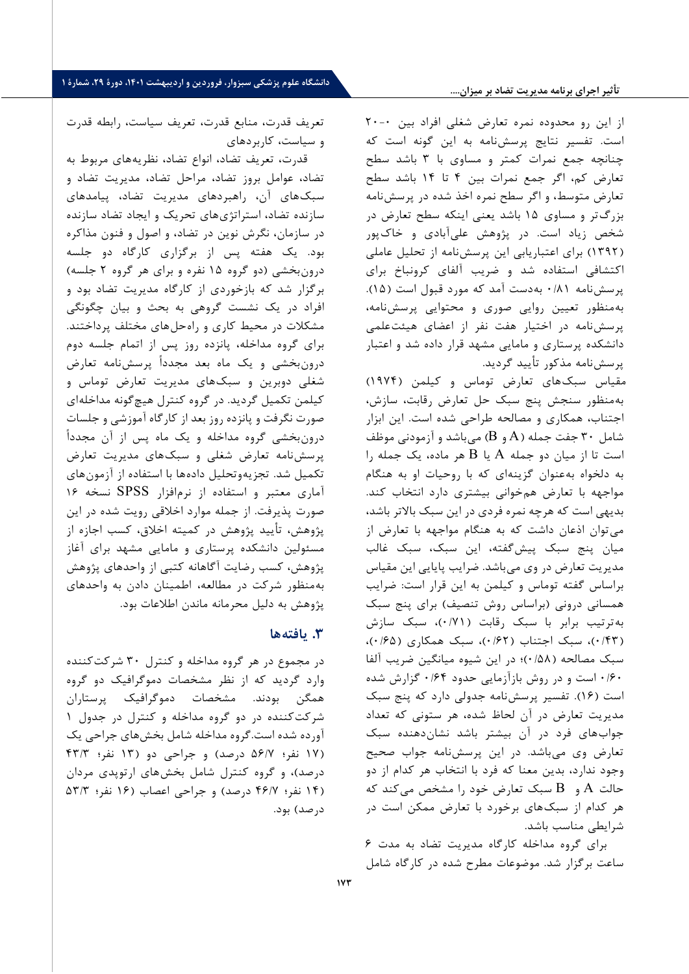از این رو محدوده نمره تعارض شغلی افراد بین -0 20 است. تفسیر نتایج پرسش نامه به این گونه است که چنانچه جمع نمرات کمتر و مساوي با 3 باشد سطح تعارض کم، اگر جمع نمرات بین 4 تا 14 باشد سطح تعارض متوسط، و اگر سطح نمره اخذ شده در پرسش نامه بزرگ تر و مساوي 15 باشد یعنی اینکه سطح تعارض در شخص زیاد است. در پژوهش علی آبادي و خاك پور ( 1392) براي اعتباریابی این پرسش نامه از تحلیل عاملی اکتشافی استفاده شد و ضریب آلفاي کرونباخ براي پرسش نامه /81 0 به دست آمد که مورد قبول است ( 15) . به منظور تعیین روایی صوري و محتوایی پرسش نامه، پرسش نامه در اختیار هفت نفر از ا عضاي هیئت علمی دانشکده پرستاري و مامایی مشهد قرار داده شد و اعتبار پرسش نامه مذکور تأیید گردید.

مقیاس سبک هاي تعارض توماس و کیلمن ( 1974) به منظور سنجش پنج سبک حل تعارض رقابت، سازش، اجتناب، همکاري و مصالحه طراحی شده است. این ابزار شامل ٣٠ جفت جمله (A و B) می باشد و آزمودنی موظف است تا از میان دو جمله A یا B هر ماده، یک جمله را به دلخواه به عنوان گزینه اي که با روحیات او به هنگام مواجهه با تعارض هم خوانی بیشتري دارد انتخاب کند. بدیهی است که هرچه نمره فردي در این سبک بالاتر باشد، می توان اذعان داشت که به هنگام مواجهه با تعارض از میان پنج سبک پیش گفته، این سبک، سبک غالب مدیریت تعارض در وي می باشد. ضرایب پایایی این مقیاس براساس گفته توماس و کیلمن به این قرار است: ضرایب همسانی درونی (براساس روش تنصیف) براي پنج سبک به ترتیب برابر با سبک رقابت ( /71 0)، سبک سازش ( /43 0)، سبک اجتناب ( /62 0)، سبک همکاري ( /65 0)، سبک مصالحه ( /58 0)؛ در این شیوه میانگین ضریب آلفا /60 0 است و در روش بازآزمایی حدود /64 0 گزارش شده است ( 16) . تفسیر پرسش نامه جدولی دارد که پنج سبک مدیریت تعارض در آن لحاظ شده، هر ستونی که تعداد جواب هاي فرد در آن بيشتر باشد نشان دهنده سبک تعارض وي می باشد. در این پرسش نامه جواب صحیح وجود ندارد، بدین معنا که فرد با انتخاب هر کدام از دو حالت  $\rm A$  و  $\rm B$  سبک تعارض خود را مشخص می کند که هر کدام از سبک هاي برخورد با تعارض ممکن است در شرایطی مناسب باشد.

براي گروه مداخله کارگاه مدیریت تضاد به مدت 6 ساعت برگزار شد. موضوعات مطرح شده در کارگاه شامل

تعریف قدرت، منابع قدرت، تعریف سیاست، رابطه قدرت و سیاست، کاربردهاي

قدرت، تعریف تضاد، انواع تضاد، نظریه هاي مربوط به تضاد، عوامل بروز تضاد، مراحل تضاد ، مدیریت تضاد و سبک هاي آن، راهبردهاي مدیریت تضاد، پ یامدهاي سازنده تضاد، استراتژي هاي تحریک و ایجاد تضاد سازنده در سازمان، نگرش نوین در تضاد، و اصول و فنون مذاکره بود. یک هفته پس از برگزاري کارگاه دو جلسه درون بخشی (دو گروه 15 نفره و براي هر گروه 2 جلسه) برگزار شد که بازخوردي از کارگاه مدیریت تضاد بود و افراد در یک نشست گروهی به بحث و بیان چگونگی مشکلات در محیط کاري و راه حل هاي مختلف پرداختند. براي گروه مداخله، پانزده روز پس از اتمام جلسه دوم درون بخشی و یک ماه بعد مجدداً پرسش نامه تعارض شغلی دوبرین و سبک هاي مدیریت تعارض توماس و کیلمن تکمیل گردید. در گروه کنترل هیچگونه مداخله اي صورت نگرفت و پانزده روز بعد از کارگاه آموزشی و جلسات درون بخشی گروه مداخله و یک ماه پس از آن مجدداً پرسش نامه تعارض شغلی و سبک هاي مدیریت تعارض تکمیل شد. تجزیه وتحلیل داده ها با استفاده از آزمون ها ي آماری معتبر و استفاده از نرم افزار SPSS نسخه ۱۶ صورت پذ یرفت . از جمله موارد اخلاقی رویت شده در این پژوهش، تأیید پژوهش در کمیته اخلاق، کسب اجازه از مسئولین دانشکده پرستاري و مامایی مشهد براي آغاز پژوهش، کسب رضایت آگاهانه کتبی از واحدهاي پژوهش به منظور شرکت در مطالعه، اطمینان دادن به واحدها ي پژوهش به دلیل محرمانه ماندن اطلاعات بود.

### **.3 یافته ها**

در مجموع در هر گروه مداخله و کنترل 30 شرکت کننده وارد گردید که از نظر مشخصات دموگرافیک دو گروه همگن بودند. مشخصات دموگرافیک پرستاران شرکت کننده در دو گروه مداخله و کنترل در جدول 1 آورده شده است.گروه مداخله شامل بخش هاي جراحی یک ( 17 نفر؛ /7 56 درصد) و جراحی دو ( 13 نفر؛ /3 43 درصد)، و گروه کنترل شامل بخش هاي ارتوپدي مردان (١۴ نفر؛ ۴۶/۷ درصد) و جراحی اعصاب (١۶ نفر؛ ٥٣/٣ درصد) بود.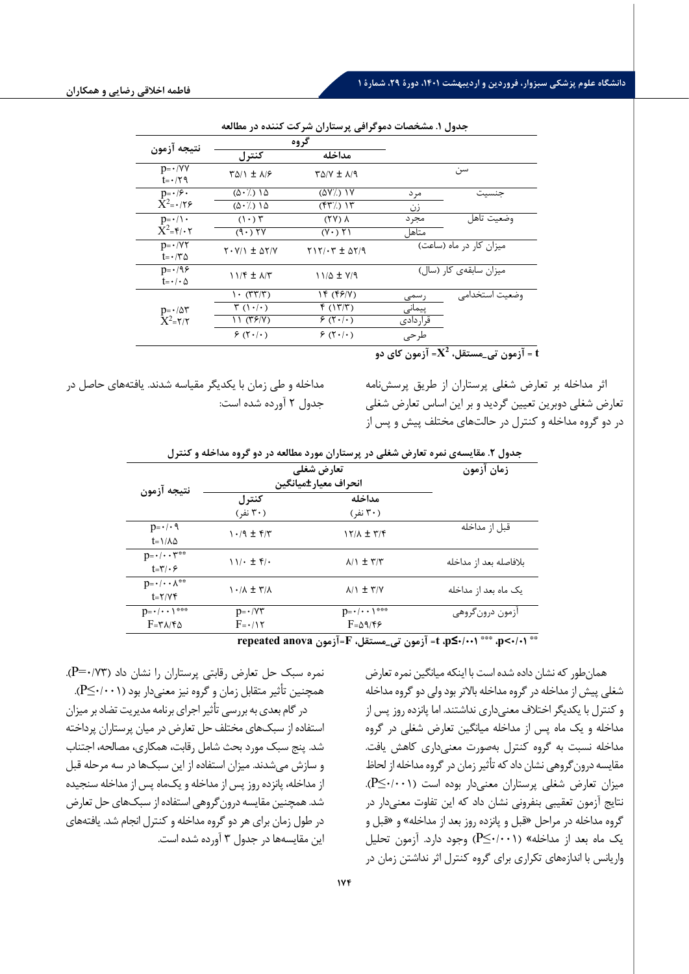| جدوں ۱. مسخصات دمو دراقی پرستاران سر تب تثبیده در مصابعه |                                   |                             |                         |                |  |  |  |
|----------------------------------------------------------|-----------------------------------|-----------------------------|-------------------------|----------------|--|--|--|
| نتيجه آزمون                                              | گروه                              |                             |                         |                |  |  |  |
|                                                          | كنترل                             | مداخله                      |                         |                |  |  |  |
| $p = \cdot / \sqrt{V}$<br>$t = \cdot 79$                 | $T\Delta/\Gamma \pm \Lambda/F$    | $P(X \pm X)$                | سن                      |                |  |  |  |
| $p = \cdot / \mathfrak{S} \cdot$                         | $(\Delta \cdot / )$ 1 $\Delta$    | $(\Delta V)$ ) $\gamma$     | مرد                     | جنسيت          |  |  |  |
| $\bar{X}^2$ = $\cdot$ /۲۶                                | $(\Delta \cdot / )$ 1 $\Delta$    | (55)                        | زن                      |                |  |  |  |
| $p = \cdot / \cdot$                                      | $(1 \cdot)$ $\uparrow$            | $(50)$ $\Lambda$            | مجر د                   | وضعيت تاهل     |  |  |  |
| $\tilde{X}^2 = \mathfrak{f}/\cdot \mathfrak{r}$          | (9.7)                             | $(Y \cdot Y)$               | متاهل                   |                |  |  |  |
| $p = \cdot / \sqrt{7}$<br>$t = \cdot / \tau \Delta$      | $Y \cdot Y / Y \pm \Delta Y / Y$  | $YY/\cdot Y \pm \Delta Y/9$ | میزان کار در ماه (ساعت) |                |  |  |  |
| $p = \cdot 95$<br>$t = \cdot / \cdot \Delta$             | $11/f \pm \lambda/T$              | 11/4 ± Y/9                  | میزان سابقهی کار (سال)  |                |  |  |  |
| $p = \cdot / \Delta \tau$<br>$X^2 = \gamma/\gamma$       | $\cdot$ (۳۳/۳)                    | (۴۶/۷) ۱۴                   | ر سمی                   | وضعيت استخدامى |  |  |  |
|                                                          | $\uparrow$ () $\cdot$ / $\cdot$ ) | f(N T)                      | پیمانی                  |                |  |  |  |
|                                                          | 11(TF/Y)                          | $f(\lceil \cdot \rceil)$    | قراردادى                |                |  |  |  |
|                                                          | 9(5.1)                            | 9(5.1)                      | طرحى                    |                |  |  |  |
|                                                          |                                   |                             |                         | $\sim$         |  |  |  |

**جدول .1 مشخصات دموگرافی پرستاران شرکت کننده در مطالعه**

**= آزمون کاي دو 2X t = آزمون تی \_مستقل،** 

مداخله و طی زمان با یکدیگر مقیاسه شدند. یافته هاي حاصل در جدول 2 آورده شده است :

اثر مداخله بر تعارض شغلی پرستاران از طریق پرسش نامه تعارض شغلی دوبرین تعیین گردید و بر این اساس تعارض شغلی در دو گروه مداخله و کنترل در حالت هاي مختلف پیش و پس از

| جدول ۲. مقایسهی نمره تعارض شغلی در پرستاران مورد مطالعه در دو گروه مداخله و کنترل |
|-----------------------------------------------------------------------------------|
|-----------------------------------------------------------------------------------|

| نتيجه آزمون                                                     | تعارض شغلي<br>انحراف معيار ±ميانگين | زمان آزمون                              |                        |
|-----------------------------------------------------------------|-------------------------------------|-----------------------------------------|------------------------|
|                                                                 | كنترل<br>(۳۰ نفر)                   | مداخله<br>(۳۰ نفر)                      |                        |
| $p = \cdot / \cdot \mathcal{A}$<br>$t = \frac{1}{\Delta}$       | $1.9 \pm 1.7$                       | $17/1 \pm 7/5$                          | قبل از مداخله          |
| $p = \cdot / \cdot \cdot \Upsilon^{**}$<br>$t = \tau / \cdot 5$ | $11/4 \pm 11/4$                     | $\lambda/\lambda \pm \tau/\tau$         | ىلافاصله ىعد از مداخله |
| $p = \cdot / \cdot \cdot \wedge^{**}$<br>$t = \frac{Y}{Y}$      | $\cdot/\lambda \pm \tau/\lambda$    | $\lambda$ / $\pm$ $\tau$ / $\gamma$     | ىک ماه ىعد از مداخله   |
| $p = \cdot / \cdot \cdot \wedge \bullet \bullet \bullet$        | $p = \cdot / \sqrt{r}$              | $p = \cdot / \cdot \cdot \wedge \cdots$ | ازمون درونگروهي        |
| $F = r \lambda / r \Delta$                                      | $F = \cdot \wedge \tau$             | $F = \Delta \mathcal{A}/\mathcal{F}$    |                        |
|                                                                 |                                     |                                         |                        |

**\*\* ،p<0 /01 \*\*\* repeated anova آزمون=F ،مستقل\_تی آزمون= t ،p≤0 /001**

همان طور که نشان داده شده است با اینکه میانگین نمره تعارض شغلی پیش از مداخله در گروه مداخله بالاتر بود ولی دو گروه مداخله و کنترل با یکدیگر اختلاف معنی داري نداشتند. اما پانزده روز پس از مداخله و یک ماه پس از مداخله میانگین تعارض شغلی در گروه مداخله نسبت به گروه کنترل به صورت معنی داري کاهش یافت. مقایسه درون گروهی نشان داد که تأثیر زمان در گروه مداخله از لحاظ میزان تعارض شغلی پرستاران معنی دار بوده است ( P<++P). نتایج آزمون تعقیبی بنفرونی نشان داد که این تفاوت معنی دار در گروه مداخله در مراحل «قبل و پانزده روز بعد از مداخله» و «قبل و یک ماه بعد از مداخله» (۱۰۰۱-P) وجود دارد. آزمون تحلیل واریانس با اندازه هاي تکراري براي گروه کنترل اثر نداشتن زمان در

 $P = \cdot / \gamma$ ۲). نمره سبک حل تعارض رقابتی پرستاران را نشان داد (۱/۲ همچنین تأثیر متقابل زمان و گروه نیز معنی دار بود ( ( ۰/۰۰). در گام بعدي به بررسی تأثیر اجراي برنامه مدیریت تضاد بر میزان استفاده از سبک هاي مختلف حل تعارض در میان پرستاران پرداخته شد. پنج سبک مورد بحث شامل رقابت، همکاري، مصالحه، اجتناب و سازش می شدند. میزان استفاده از این سبک ها در سه مرحله قبل از مداخله، پانزده روز پس از مداخله و یک ماه پس از مداخله سنجیده شد. همچنین مقایسه درون گروهی استفاده از سبک هاي حل تعارض در طول زمان براي هر دو گروه مداخله و کنترل انجام شد. یافته هاي این مقایسه ها در جدول 3 آورده شده است.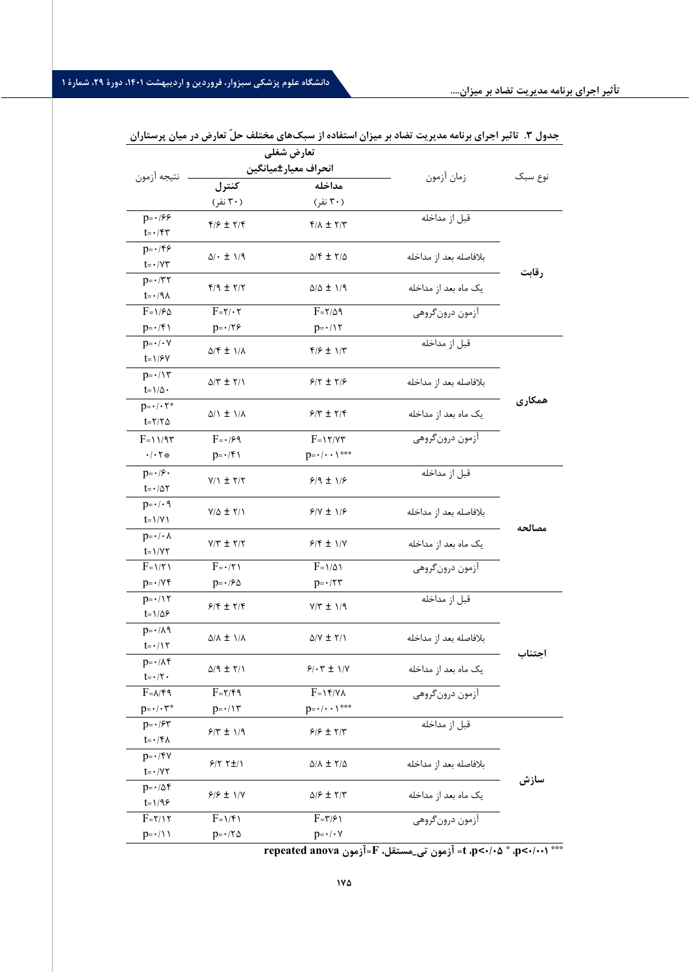|                                                         | تعارض شغلي                                                                                                                                                                                                                                                                                                          |                                                   |                        |         |
|---------------------------------------------------------|---------------------------------------------------------------------------------------------------------------------------------------------------------------------------------------------------------------------------------------------------------------------------------------------------------------------|---------------------------------------------------|------------------------|---------|
| نتيجه آزمون                                             |                                                                                                                                                                                                                                                                                                                     | انحراف معيار±ميانگين                              |                        |         |
|                                                         | كنترل                                                                                                                                                                                                                                                                                                               | مداخله                                            | زمان آزمون             | نوع سبک |
|                                                         | (۳۰ نفر)                                                                                                                                                                                                                                                                                                            | (۳۰ نفر)                                          |                        |         |
| $p=$ $\cdot$ / $55$                                     |                                                                                                                                                                                                                                                                                                                     |                                                   | قبل از مداخله          |         |
| $t = \cdot / \xi \tau$                                  | $\frac{1}{2}$ $\frac{1}{2}$ $\frac{1}{2}$ $\frac{1}{2}$ $\frac{1}{2}$ $\frac{1}{2}$ $\frac{1}{2}$ $\frac{1}{2}$ $\frac{1}{2}$ $\frac{1}{2}$ $\frac{1}{2}$ $\frac{1}{2}$ $\frac{1}{2}$ $\frac{1}{2}$ $\frac{1}{2}$ $\frac{1}{2}$ $\frac{1}{2}$ $\frac{1}{2}$ $\frac{1}{2}$ $\frac{1}{2}$ $\frac{1}{2}$ $\frac{1}{2}$ | $\mathbf{f}/\mathbf{A} \pm \mathbf{f}/\mathbf{f}$ |                        |         |
| $p = \cdot$ /۴۶                                         | $\Delta/\cdot \pm 1/9$                                                                                                                                                                                                                                                                                              | $\Delta/\mathfrak{k} \pm \mathfrak{k}/\Delta$     | بلافاصله بعد از مداخله |         |
| $t = \cdot / \nu \tau$                                  |                                                                                                                                                                                                                                                                                                                     |                                                   |                        | رقابت   |
| $p = \cdot / \tau \tau$                                 | $f/9 \pm 7/7$                                                                                                                                                                                                                                                                                                       | $\Delta/\Delta \pm 1/9$                           | یک ماه بعد از مداخله   |         |
| $t = \cdot / 9 \lambda$                                 |                                                                                                                                                                                                                                                                                                                     |                                                   |                        |         |
| $F = \frac{1}{6}$                                       | $F = \gamma / \cdot \gamma$                                                                                                                                                                                                                                                                                         | $F = \frac{1}{2}$                                 | آزمون درون گروهي       |         |
| $p = \cdot / f \setminus$                               | $p = \cdot 75$                                                                                                                                                                                                                                                                                                      | $p = \cdot / \sqrt{7}$                            |                        |         |
| $p = \cdot / \cdot V$                                   | $\Delta$ /۴ ± ۱/۸                                                                                                                                                                                                                                                                                                   | $\frac{6}{5}$ $\frac{4}{5}$ $\frac{1}{10}$        | قبل از مداخله          |         |
| $t = \frac{1}{9}$                                       |                                                                                                                                                                                                                                                                                                                     |                                                   |                        |         |
| $p = \cdot / \sqrt{r}$                                  | $\Delta/\Upsilon \pm \Upsilon/\Upsilon$                                                                                                                                                                                                                                                                             | $9/7 \pm 7/9$                                     | بلافاصله بعد از مداخله |         |
| $t = \frac{1}{\Delta}$ .                                |                                                                                                                                                                                                                                                                                                                     |                                                   |                        | همكارى  |
| $p = \cdot / \cdot \tau$ *                              | $\Delta/\lambda \pm \lambda/\lambda$                                                                                                                                                                                                                                                                                | $5/7 \pm 7/7$                                     | یک ماه بعد از مداخله   |         |
| $t = \frac{1}{\pi}$                                     |                                                                                                                                                                                                                                                                                                                     |                                                   |                        |         |
| $F=11/97$                                               | $F = \cdot 199$                                                                                                                                                                                                                                                                                                     | $F = \frac{Y}{Y}$                                 | آزمون درون گروهي       |         |
| $\cdot/\cdot$ \**                                       | $p = \cdot / f \cdot$                                                                                                                                                                                                                                                                                               | $p = \cdot / \cdot \cdot \wedge \cdots$           |                        |         |
| $p = \cdot / \mathfrak{s}$ .                            | $Y/1 \pm Y/7$                                                                                                                                                                                                                                                                                                       | $9/9 \pm 1/9$                                     | قبل از مداخله          |         |
| $t = \cdot/\Delta\tau$                                  |                                                                                                                                                                                                                                                                                                                     |                                                   |                        |         |
| $p = \cdot / \cdot 9$                                   | $Y/\Delta \pm Y/\gamma$                                                                                                                                                                                                                                                                                             | $9/1 + 1/9$                                       | بلافاصله بعد از مداخله |         |
| $t = \frac{1}{V}$                                       |                                                                                                                                                                                                                                                                                                                     |                                                   |                        | مصالحه  |
| $p = \cdot / \cdot \wedge$                              | $Y/Y \pm Y/Y$                                                                                                                                                                                                                                                                                                       | $9/5 \pm 1/7$                                     | یک ماه بعد از مداخله   |         |
| $t = \frac{1}{Y}$                                       |                                                                                                                                                                                                                                                                                                                     |                                                   |                        |         |
| $F = \frac{1}{\tau}$                                    | $F = \cdot / \tau$                                                                                                                                                                                                                                                                                                  | $F=1/\Delta$                                      | آزمون درون گروهی       |         |
| $p = \cdot / \sqrt{r}$                                  | $p = \cdot 190$                                                                                                                                                                                                                                                                                                     | $p = \cdot / \tau \tau$                           |                        |         |
| $p = \cdot / \sqrt{7}$                                  | $9/5 \pm 7/5$                                                                                                                                                                                                                                                                                                       | $Y/Y \pm 1/9$                                     | قبل از مداخله          |         |
| $t = 1/\Delta F$                                        |                                                                                                                                                                                                                                                                                                                     |                                                   |                        |         |
| $p = \cdot / \lambda$ ۹                                 | $Q/\lambda \pm 1/\lambda$                                                                                                                                                                                                                                                                                           | $\Delta/Y \pm Y/1$                                | بلافاصله بعد از مداخله |         |
| $t = \cdot / \sqrt{7}$                                  |                                                                                                                                                                                                                                                                                                                     |                                                   |                        | اجتناب  |
| $p{=}\cdot/\Lambda\mathfrak{k}$<br>$t = \cdot / \tau$ . | $\Delta/\ensuremath{\mathfrak{q}}\,\pm\,\ensuremath{\mathfrak{r}}/\ensuremath{\mathfrak{f}}$                                                                                                                                                                                                                        | $9/17 \pm 1/1$                                    | یک ماه بعد از مداخله   |         |
| $F = \lambda / \mathcal{F}$ ۹                           | $F = \tau / \tau$                                                                                                                                                                                                                                                                                                   | $F = \Upsilon / \Upsilon / \Upsilon$              | آزمون درون گروهی       |         |
| $p = \cdot / \cdot r$ *                                 | $p = \cdot / \sqrt{r}$                                                                                                                                                                                                                                                                                              | $p = \cdot / \cdot \cdot \wedge \cdots$           |                        |         |
| $p = \cdot 75$                                          |                                                                                                                                                                                                                                                                                                                     |                                                   | قبل از مداخله          |         |
| $t = \cdot / \mathcal{F} \wedge$                        | $9/7 \pm 1/9$                                                                                                                                                                                                                                                                                                       | $9/9 \pm 7/7$                                     |                        |         |
| $p = \cdot / \sqrt{Y}$                                  |                                                                                                                                                                                                                                                                                                                     |                                                   |                        |         |
| $t = \cdot / \sqrt{7}$                                  | $9/7$ $7\pm/1$                                                                                                                                                                                                                                                                                                      | $\Delta/\lambda \pm 7/\Delta$                     | بلافاصله بعد از مداخله |         |
| $p = \cdot / \Delta f$                                  |                                                                                                                                                                                                                                                                                                                     |                                                   |                        | سازش    |
| $t = \frac{1}{9}$                                       | $9/9 \pm 1/7$                                                                                                                                                                                                                                                                                                       | $\Delta/\mathcal{F} \pm \mathbf{Y}/\mathbf{Y}$    | یک ماه بعد از مداخله   |         |
| $F = \gamma \gamma \gamma$                              | $F = \frac{1}{F}$                                                                                                                                                                                                                                                                                                   | $F=\tau/\epsilon$                                 | آزمون درونگروهي        |         |
| $p = \cdot / \wedge \wedge$                             | $p = \cdot / \tau \Delta$                                                                                                                                                                                                                                                                                           | $p = \cdot / \cdot V$                             |                        |         |
|                                                         |                                                                                                                                                                                                                                                                                                                     |                                                   |                        |         |

جدول ٣. تاثیر اجرای برنامه مدیریت تضاد بر میزان استفاده از سبکهای مختلف حلّ تعارض در میان پرستاران

**\*\*\* ،p<0 /001 \* repeated anova آزمون=F ،مستقل\_تی آزمون= t ،p<0 /05**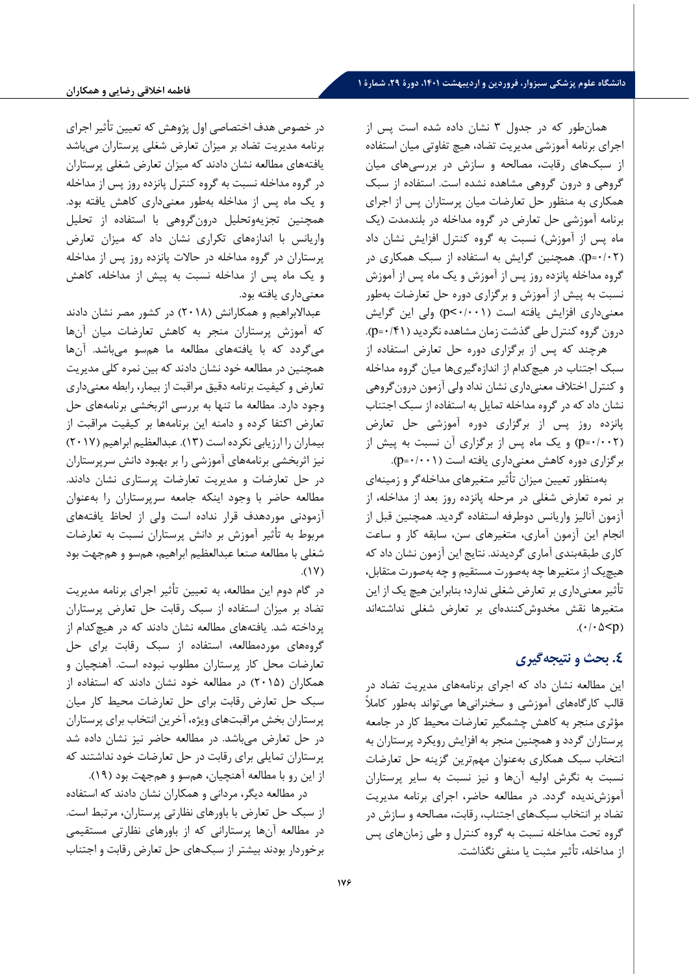همانطور که در جدول 3 نشان داده شده است پس از اجراي برنامه آموزشی مدیریت تضاد، هیچ تفاوتی میان استفاده از سبکهاي رقابت، مصالحه و سازش در بررسیهاي میان گروهی و درون گروهی مشاهده نشده است. استفاده از سبک همکاري به منظور حل تعارضات میان پرستاران پس از اجراي برنامه آموزشی حل تعارض در گروه مداخله در بلندمدت (یک ماه پس از آموزش) نسبت به گروه کنترل افزایش نشان داد (0/02=p(. همچنین گرایش به استفاده از سبک همکاري در گروه مداخله پانزده روز پس از آموزش و یک ماه پس از آموزش نسبت به پیش از آموزش و برگزاري دوره حل تعارضات به طور معنی داري افزایش یافته است (0/001>p (ولی این گرایش درون گروه کنترل طی گذشت زمان مشاهده نگردید (0/41=p(.

هرچند که پس از برگزاري دوره حل تعارض استفاده از سبک اجتناب در هیچکدام از اندازهگیري ها میان گروه مداخله و کنترل اختلاف معنی داري نشان نداد ولی آزمون درونگروهی نشان داد که در گروه مداخله تمایل به استفاده از سبک اجتناب پانزده روز پس از برگزاري دوره آموزشی حل تعارض (0/002=p (و یک ماه پس از برگزاري آن نسبت به پیش از برگزاري دوره کاهش معنی داري یافته است (0/001=p(.

بهمنظور تعیین میزان تأثیر متغیرهاي مداخلهگر و زمینه اي بر نمره تعارض شغلی در مرحله پانزده روز بعد از مداخله، از آزمون آنالیز واریانس دوطرفه استفاده گردید. همچنین قبل از انجام این آزمون آماري، متغیرهاي سن، سابقه کار و ساعت کاري طبقه بندي آماري گردیدند. نتایج این آزمون نشان داد که هیچیک از متغیرها چه به صورت مستقیم و چه به صورت متقابل ، تأثیر معنی داري بر تعارض شغلی ندارد؛ بنابراین هیچ یک از این متغیرها نقش مخدوشکنندهای بر تعارض شغلی نداشتهاند  $.(\cdot/\cdot \Delta < p)$ 

# **.4 بحث و نتیجه گیري**

این مطالعه نشان داد که اجراي برنامههاي مدیریت تضاد در قالب کارگاههاي آموزشی و سخنرانیها میتواند به طور کاملاً مؤثري منجر به کاهش چشمگیر تعارضات محیط کار در جامعه پرستاران گردد و همچنین منجر به افزایش رویکرد پرستاران به انتخاب سبک همکاري بهعنوان مهم ترین گزینه حل تعارضات نسبت به نگرش اولیه آنها و نیز نسبت به سایر پرستاران آموزشندیده گردد. در مطالعه حاضر، اجراي برنامه مدیریت تضاد بر انتخاب سبکهاي اجتناب، رقابت، مصالحه و سازش در گروه تحت مداخله نسبت به گروه کنترل و طی زمانهاي پس از مداخله، تأثیر مثبت یا منفی نگذاشت.

در خصوص هدف اختصاصی اول پژوهش که تعیین تأثیر اجراي برنامه مدیریت تضاد بر میزان تعارض شغلی پرستاران میباشد یافتههاي مطالعه نشان دادند که میزان تعارض شغلی پرستاران در گروه مداخله نسبت به گروه کنترل پانزده روز پس از مداخله و یک ماه پس از مداخله به طور معنی داري کاهش یافته بود. همچنین تجزیهوتحلیل درونگروهی با استفاده از تحلیل واریانس با اندازههاي تکراري نشان داد که میزان تعارض پرستاران در گروه مداخله در حالات پانزده روز پس از مداخله و یک ماه پس از مداخله نسبت به پیش از مداخله، کاهش معنی داري یافته بود.

عبدالابراهیم و همکارانش (2018) در کشور مصر نشان دادند که آموزش پرستاران منجر به کاهش تعارضات میان آن ها می گردد که با یافتههاي مطالعه ما هم سو میباشد. آنها همچنین در مطالعه خود نشان دادند که بین نمره کلی مدیریت تعارض و کیفیت برنامه دقیق مراقبت از بیمار، رابطه معنی داري وجود دارد. مطالعه ما تنها به بررسی اثربخشی برنامههاي حل تعارض اکتفا کرده و دامنه این برنامه ها بر کیفیت مراقبت از بیماران را ارزیابی نکرده است (13). عبدالعظیم ابراهیم (2017) نیز اثربخشی برنامههاي آموزشی را بر بهبود دانش سرپرستاران در حل تعارضات و مدیریت تعارضات پرستاري نشان دادند. مطالعه حاضر با وجود اینکه جامعه سرپرستاران را بهعنوان آزمودنی موردهدف قرار نداده است ولی از لحاظ یافتههاي مربوط به تأثیر آموزش بر دانش پرستاران نسبت به تعارضات شغلی با مطالعه صنعا عبدالعظیم ابراهیم، هم سو و همجهت بود  $.$ (1Y)

در گام دوم این مطالعه، به تعیین تأثیر اجراي برنامه مدیریت تضاد بر میزان استفاده از سبک رقابت حل تعارض پرستاران پرداخته شد. یافتههاي مطالعه نشان دادند که در هیچکدام از گروههاي موردمطالعه، استفاده از سبک رقابت براي حل تعارضات محل کار پرستاران مطلوب نبوده است. آهنچیان و همکاران (2015) در مطالعه خود نشان دادند که استفاده از سبک حل تعارض رقابت براي حل تعارضات محیط کار میان پرستاران بخش مراقبتهاي ویژه، آخرین انتخاب براي پرستاران در حل تعارض می باشد. در مطالعه حاضر نیز نشان داده شد پرستاران تمایلی براي رقابت در حل تعارضات خود نداشتند که از این رو با مطالعه آهنچیان، هم سو و همجهت بود (19).

در مطالعه دیگر، مردانی و همکاران نشان دادند که استفاده از سبک حل تعارض با باورهاي نظارتی پرستاران، مرتبط است. در مطالعه آنها پرستارانی که از باورهاي نظارتی مستقیمی برخوردار بودند بیشتر از سبک هاي حل تعارض رقابت و اجتناب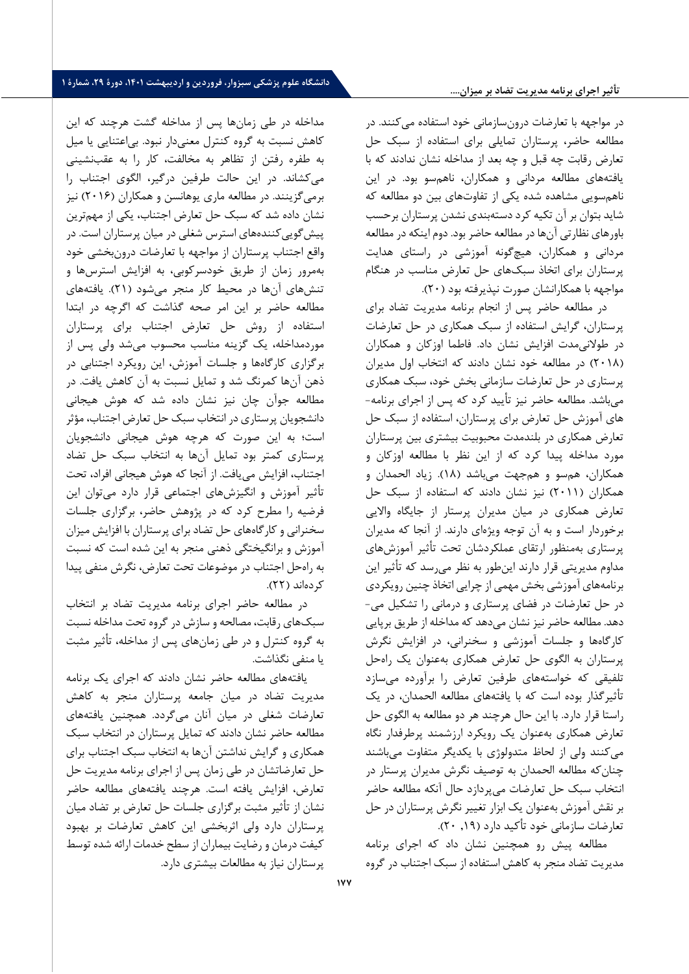#### **تأثیر اجراي برنامه مدیریت تضاد بر میزان....**

در مواجهه با تعارضات درونسازمانی خود استفاده می کنند. در مطالعه حاضر، پرستاران تمایلی براي استفاده از سبک حل تعارض رقابت چه قبل و چه بعد از مداخله نشان ندادند که با یافتههاي مطالعه مردانی و همکاران، ناهم سو بود. در این ناهم سویی مشاهده شده یکی از تفاوتهاي بین دو مطالعه که شاید بتوان بر آن تکیه کرد دسته بندي نشدن پرستاران برحسب باورهاي نظارتی آنها در مطالعه حاضر بود. دوم اینکه در مطالعه مردانی و همکاران، هیچگونه آموزشی در راستاي هدایت پرستاران براي اتخاذ سبکهاي حل تعارض مناسب در هنگام مواجهه با همکارانشان صورت نپذیرفته بود (20).

در مطالعه حاضر پس از انجام برنامه مدیریت تضاد براي پرستاران، گرایش استفاده از سبک همکاري در حل تعارضات در طولانیمدت افزایش نشان داد. فاطما اوزکان و همکاران (2018) در مطالعه خود نشان دادند که انتخاب اول مدیران پرستاري در حل تعارضات سازمانی بخش خود، سبک همکاري میباشد. مطالعه حاضر نیز تأیید کرد که پس از اجراي برنامه- هاي آموزش حل تعارض براي پرستاران، استفاده از سبک حل تعارض همکاري در بلندمدت محبوبیت بیشتري بین پرستاران مورد مداخله پیدا کرد که از این نظر با مطالعه اوزکان و همکاران، همسو و هم جهت می باشد (18). زیاد الحمدان و همکاران (2011) نیز نشان دادند که استفاده از سبک حل تعارض همکاري در میان مدیران پرستار از جایگاه والایی برخوردار است و به آن توجه ویژهاي دارند. از آنجا که مدیران پرستاري به منظور ارتقاي عملکردشان تحت تأثیر آموزشهاي مداوم مدیریتی قرار دارند اینطور به نظر می رسد که تأثیر این برنامه هاي آموزشی بخش مهمی از چرایی اتخاذ چنین رویکردي در حل تعارضات در فضاي پرستا ري و درمانی را تشکیل می- دهد. مطالعه حاضر نیز نشان می دهد که مداخله از طریق برپایی کارگاهها و جلسات آموزشی و سخنرانی، در افزایش نگرش پرستاران به الگوي حل تعارض همکاري بهعنوان یک راهحل تلفیقی که خواستههاي طرفین تعارض را برآورده میسازد تأثیرگذار بوده است که با یافته هاي مطالعه الحمدان، در یک راستا قرار دارد. با این حال هرچند هر دو مطالعه به الگوي حل تعارض همکاري به عنوان یک رویکرد ارزشمند پرطرفدار نگاه می کنند ولی از لحاظ متدولوژي با یکدیگر متفاوت می باشند چنانکه مطالعه الحمدان به توصیف نگرش مدیران پرستار در انتخاب سبک حل تعارضات میپردازد حال آنکه مطالعه حاضر بر نقش آموزش بهعنوان یک ابزار تغییر نگرش پرستاران در حل تعارضات سازمانی خود تأکید دارد (,19 20).

مطالعه پیش رو همچنین نشان داد که اجراي برنامه مدیریت تضاد منجر به کاهش استفاده از سبک اجتناب در گروه

مداخله در طی زمانها پس از مداخله گشت هرچند که این کاهش نسبت به گروه کنترل معنیدار نبود. بی اعتنایی یا میل به طفره رفتن از تظاهر به مخالفت، کار را به عقب نشینی می کشاند. در این حالت طرفین درگیر، الگوي اجتناب را برمی گزینند. در مطالعه ماري یوهانسن و همکاران (2016) نیز نشان داده شد که سبک حل تعارض اجتناب، یکی از مهم ترین پیش گوییکننده هاي استرس شغلی در میان پرستاران است. در واقع اجتناب پرستاران از مواجهه با تعارضات درونبخشی خود بهمرور زمان از طریق خودسرکوبی، به افزایش استرسها و تنش هاي آنها در محیط کار منجر می شود (21). یافتههاي مطالعه حاضر بر این امر صحه گذاشت که اگرچه در ابتدا استفاده از روش حل تعارض اجتناب براي پرستاران موردمداخله، یک گزینه مناسب محسوب میشد ولی پس از برگزاري کارگاهها و جلسات آموز ش، این رویکرد اجتنابی در ذهن آنها کمرنگ شد و تمایل نسبت به آن کاهش یافت. در مطالعه جوآن چان نیز نشان داده شد که هوش هیجانی دانشجویان پرستاري در انتخاب سبک حل تعارض اجتناب، مؤثر است؛ به این صورت که هرچه هوش هیجانی دانشجویان پرستاري کمتر بود تمایل آنها به انتخاب سبک حل تضاد اجتناب، افزایش مییافت. از آنجا که هوش هیجانی افراد، تحت تأثیر آموزش و انگیزش هاي اجتماعی قرار دارد می توان این فرضیه را مطرح کرد که در پژوهش حاضر، برگزاري جلسات سخنرانی و کارگاههاي حل تضاد براي پرستاران با افزایش میزان آموزش و برانگیختگی ذهنی منجر به این شده است که نسبت به راه حل اجتناب در موضوعات تحت تعارض، نگرش منفی پیدا کردهاند (22).

در مطالعه حاضر اجراي برنامه مدیریت تضاد بر انتخاب سبکهاي رقابت، مصالحه و سازش در گروه تحت مداخله نسبت به گروه کنترل و در طی زمانهاي پس از مداخله، تأثیر مثبت یا منفی نگذاشت.

یافتههاي مطالعه حاضر نشان دادند که اجراي یک برنامه مدیریت تضاد در میان جامعه پرستاران منجر به کاهش تعارضات شغلی در میان آنان میگردد. همچنین یافتههاي مطالعه حاضر نشان دادند که تمایل پرستاران در انتخاب سبک همکاري و گرایش نداشتن آنها به انتخاب سبک اجتناب براي حل تعارضاتشان در طی زمان پس از اجراي برنامه مدیریت حل تعارض، افزایش یافته است. هرچند یافتههاي مطالعه حاضر نشان از تأثیر مثبت برگزاري جلسات حل تعارض بر تضاد میان پرستاران دارد ولی اثربخشی این کاهش تعارضات بر بهبود کیفت درمان و رضایت بیماران از سطح خدمات ارائه شده توسط پرستاران نیاز به مطالعات بیشتري دارد.